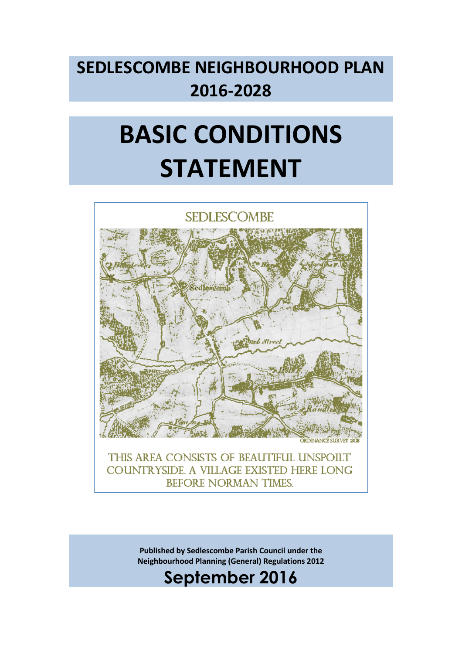## **SEDLESCOMBE NEIGHBOURHOOD PLAN 2016-2028**

# **BASIC CONDITIONS STATEMENT**



THIS AREA CONSISTS OF BEAUTIFUL UNSPOILT COUNTRYSIDE. A VILLAGE EXISTED HERE LONG **BEFORE NORMAN TIMES** 

> **Published by Sedlescombe Parish Council under the Neighbourhood Planning (General) Regulations 2012**

### **September 2016**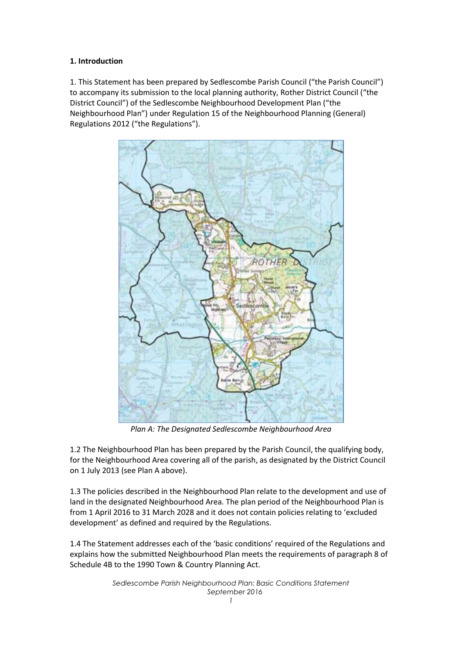#### **1. Introduction**

1. This Statement has been prepared by Sedlescombe Parish Council ("the Parish Council") to accompany its submission to the local planning authority, Rother District Council ("the District Council") of the Sedlescombe Neighbourhood Development Plan ("the Neighbourhood Plan") under Regulation 15 of the Neighbourhood Planning (General) Regulations 2012 ("the Regulations").



*Plan A: The Designated Sedlescombe Neighbourhood Area*

1.2 The Neighbourhood Plan has been prepared by the Parish Council, the qualifying body, for the Neighbourhood Area covering all of the parish, as designated by the District Council on 1 July 2013 (see Plan A above).

1.3 The policies described in the Neighbourhood Plan relate to the development and use of land in the designated Neighbourhood Area. The plan period of the Neighbourhood Plan is from 1 April 2016 to 31 March 2028 and it does not contain policies relating to 'excluded development' as defined and required by the Regulations.

1.4 The Statement addresses each of the 'basic conditions' required of the Regulations and explains how the submitted Neighbourhood Plan meets the requirements of paragraph 8 of Schedule 4B to the 1990 Town & Country Planning Act.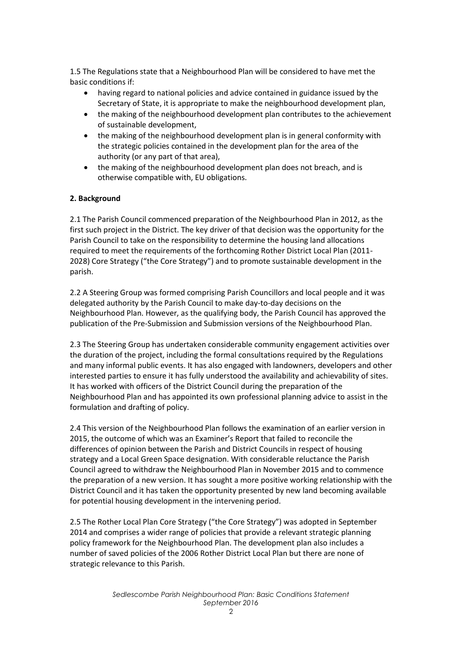1.5 The Regulations state that a Neighbourhood Plan will be considered to have met the basic conditions if:

- having regard to national policies and advice contained in guidance issued by the Secretary of State, it is appropriate to make the neighbourhood development plan,
- the making of the neighbourhood development plan contributes to the achievement of sustainable development,
- the making of the neighbourhood development plan is in general conformity with the strategic policies contained in the development plan for the area of the authority (or any part of that area),
- the making of the neighbourhood development plan does not breach, and is otherwise compatible with, EU obligations.

#### **2. Background**

2.1 The Parish Council commenced preparation of the Neighbourhood Plan in 2012, as the first such project in the District. The key driver of that decision was the opportunity for the Parish Council to take on the responsibility to determine the housing land allocations required to meet the requirements of the forthcoming Rother District Local Plan (2011- 2028) Core Strategy ("the Core Strategy") and to promote sustainable development in the parish.

2.2 A Steering Group was formed comprising Parish Councillors and local people and it was delegated authority by the Parish Council to make day-to-day decisions on the Neighbourhood Plan. However, as the qualifying body, the Parish Council has approved the publication of the Pre-Submission and Submission versions of the Neighbourhood Plan.

2.3 The Steering Group has undertaken considerable community engagement activities over the duration of the project, including the formal consultations required by the Regulations and many informal public events. It has also engaged with landowners, developers and other interested parties to ensure it has fully understood the availability and achievability of sites. It has worked with officers of the District Council during the preparation of the Neighbourhood Plan and has appointed its own professional planning advice to assist in the formulation and drafting of policy.

2.4 This version of the Neighbourhood Plan follows the examination of an earlier version in 2015, the outcome of which was an Examiner's Report that failed to reconcile the differences of opinion between the Parish and District Councils in respect of housing strategy and a Local Green Space designation. With considerable reluctance the Parish Council agreed to withdraw the Neighbourhood Plan in November 2015 and to commence the preparation of a new version. It has sought a more positive working relationship with the District Council and it has taken the opportunity presented by new land becoming available for potential housing development in the intervening period.

2.5 The Rother Local Plan Core Strategy ("the Core Strategy") was adopted in September 2014 and comprises a wider range of policies that provide a relevant strategic planning policy framework for the Neighbourhood Plan. The development plan also includes a number of saved policies of the 2006 Rother District Local Plan but there are none of strategic relevance to this Parish.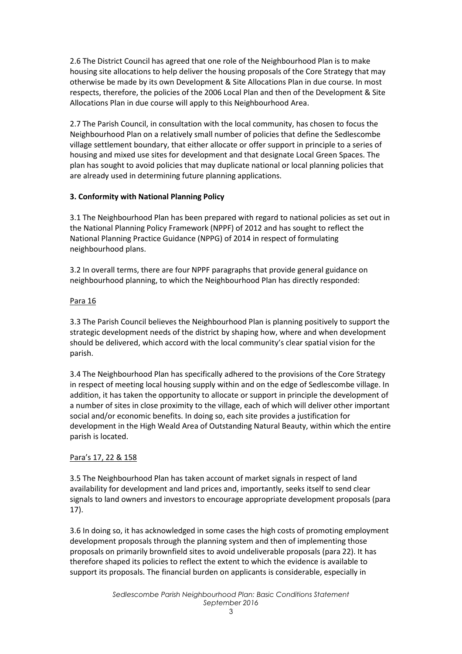2.6 The District Council has agreed that one role of the Neighbourhood Plan is to make housing site allocations to help deliver the housing proposals of the Core Strategy that may otherwise be made by its own Development & Site Allocations Plan in due course. In most respects, therefore, the policies of the 2006 Local Plan and then of the Development & Site Allocations Plan in due course will apply to this Neighbourhood Area.

2.7 The Parish Council, in consultation with the local community, has chosen to focus the Neighbourhood Plan on a relatively small number of policies that define the Sedlescombe village settlement boundary, that either allocate or offer support in principle to a series of housing and mixed use sites for development and that designate Local Green Spaces. The plan has sought to avoid policies that may duplicate national or local planning policies that are already used in determining future planning applications.

#### **3. Conformity with National Planning Policy**

3.1 The Neighbourhood Plan has been prepared with regard to national policies as set out in the National Planning Policy Framework (NPPF) of 2012 and has sought to reflect the National Planning Practice Guidance (NPPG) of 2014 in respect of formulating neighbourhood plans.

3.2 In overall terms, there are four NPPF paragraphs that provide general guidance on neighbourhood planning, to which the Neighbourhood Plan has directly responded:

#### Para 16

3.3 The Parish Council believes the Neighbourhood Plan is planning positively to support the strategic development needs of the district by shaping how, where and when development should be delivered, which accord with the local community's clear spatial vision for the parish.

3.4 The Neighbourhood Plan has specifically adhered to the provisions of the Core Strategy in respect of meeting local housing supply within and on the edge of Sedlescombe village. In addition, it has taken the opportunity to allocate or support in principle the development of a number of sites in close proximity to the village, each of which will deliver other important social and/or economic benefits. In doing so, each site provides a justification for development in the High Weald Area of Outstanding Natural Beauty, within which the entire parish is located.

#### Para's 17, 22 & 158

3.5 The Neighbourhood Plan has taken account of market signals in respect of land availability for development and land prices and, importantly, seeks itself to send clear signals to land owners and investors to encourage appropriate development proposals (para 17).

3.6 In doing so, it has acknowledged in some cases the high costs of promoting employment development proposals through the planning system and then of implementing those proposals on primarily brownfield sites to avoid undeliverable proposals (para 22). It has therefore shaped its policies to reflect the extent to which the evidence is available to support its proposals. The financial burden on applicants is considerable, especially in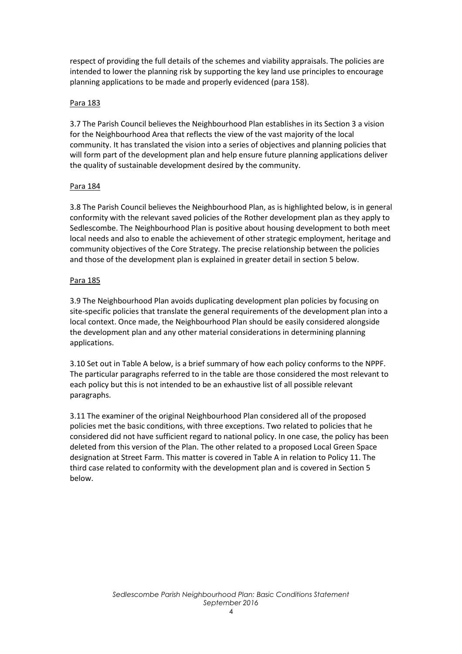respect of providing the full details of the schemes and viability appraisals. The policies are intended to lower the planning risk by supporting the key land use principles to encourage planning applications to be made and properly evidenced (para 158).

#### Para 183

3.7 The Parish Council believes the Neighbourhood Plan establishes in its Section 3 a vision for the Neighbourhood Area that reflects the view of the vast majority of the local community. It has translated the vision into a series of objectives and planning policies that will form part of the development plan and help ensure future planning applications deliver the quality of sustainable development desired by the community.

#### Para 184

3.8 The Parish Council believes the Neighbourhood Plan, as is highlighted below, is in general conformity with the relevant saved policies of the Rother development plan as they apply to Sedlescombe. The Neighbourhood Plan is positive about housing development to both meet local needs and also to enable the achievement of other strategic employment, heritage and community objectives of the Core Strategy. The precise relationship between the policies and those of the development plan is explained in greater detail in section 5 below.

#### Para 185

3.9 The Neighbourhood Plan avoids duplicating development plan policies by focusing on site-specific policies that translate the general requirements of the development plan into a local context. Once made, the Neighbourhood Plan should be easily considered alongside the development plan and any other material considerations in determining planning applications.

3.10 Set out in Table A below, is a brief summary of how each policy conforms to the NPPF. The particular paragraphs referred to in the table are those considered the most relevant to each policy but this is not intended to be an exhaustive list of all possible relevant paragraphs.

3.11 The examiner of the original Neighbourhood Plan considered all of the proposed policies met the basic conditions, with three exceptions. Two related to policies that he considered did not have sufficient regard to national policy. In one case, the policy has been deleted from this version of the Plan. The other related to a proposed Local Green Space designation at Street Farm. This matter is covered in Table A in relation to Policy 11. The third case related to conformity with the development plan and is covered in Section 5 below.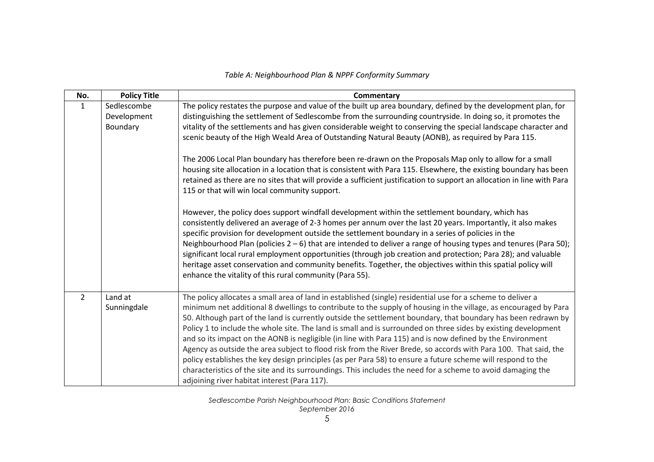#### *Table A: Neighbourhood Plan & NPPF Conformity Summary*

| No.            | <b>Policy Title</b>                    | Commentary                                                                                                                                                                                                                                                                                                                                                                                                                                                                                                                                                                                                                                                                                                                                                                                                                                                                                                                                                                                                                                                                          |
|----------------|----------------------------------------|-------------------------------------------------------------------------------------------------------------------------------------------------------------------------------------------------------------------------------------------------------------------------------------------------------------------------------------------------------------------------------------------------------------------------------------------------------------------------------------------------------------------------------------------------------------------------------------------------------------------------------------------------------------------------------------------------------------------------------------------------------------------------------------------------------------------------------------------------------------------------------------------------------------------------------------------------------------------------------------------------------------------------------------------------------------------------------------|
| $\mathbf{1}$   | Sedlescombe<br>Development<br>Boundary | The policy restates the purpose and value of the built up area boundary, defined by the development plan, for<br>distinguishing the settlement of Sedlescombe from the surrounding countryside. In doing so, it promotes the<br>vitality of the settlements and has given considerable weight to conserving the special landscape character and<br>scenic beauty of the High Weald Area of Outstanding Natural Beauty (AONB), as required by Para 115.<br>The 2006 Local Plan boundary has therefore been re-drawn on the Proposals Map only to allow for a small<br>housing site allocation in a location that is consistent with Para 115. Elsewhere, the existing boundary has been<br>retained as there are no sites that will provide a sufficient justification to support an allocation in line with Para<br>115 or that will win local community support.<br>However, the policy does support windfall development within the settlement boundary, which has<br>consistently delivered an average of 2-3 homes per annum over the last 20 years. Importantly, it also makes |
|                |                                        | specific provision for development outside the settlement boundary in a series of policies in the<br>Neighbourhood Plan (policies $2-6$ ) that are intended to deliver a range of housing types and tenures (Para 50);<br>significant local rural employment opportunities (through job creation and protection; Para 28); and valuable<br>heritage asset conservation and community benefits. Together, the objectives within this spatial policy will<br>enhance the vitality of this rural community (Para 55).                                                                                                                                                                                                                                                                                                                                                                                                                                                                                                                                                                  |
| $\overline{2}$ | Land at<br>Sunningdale                 | The policy allocates a small area of land in established (single) residential use for a scheme to deliver a<br>minimum net additional 8 dwellings to contribute to the supply of housing in the village, as encouraged by Para<br>50. Although part of the land is currently outside the settlement boundary, that boundary has been redrawn by<br>Policy 1 to include the whole site. The land is small and is surrounded on three sides by existing development<br>and so its impact on the AONB is negligible (in line with Para 115) and is now defined by the Environment<br>Agency as outside the area subject to flood risk from the River Brede, so accords with Para 100. That said, the<br>policy establishes the key design principles (as per Para 58) to ensure a future scheme will respond to the<br>characteristics of the site and its surroundings. This includes the need for a scheme to avoid damaging the<br>adjoining river habitat interest (Para 117).                                                                                                     |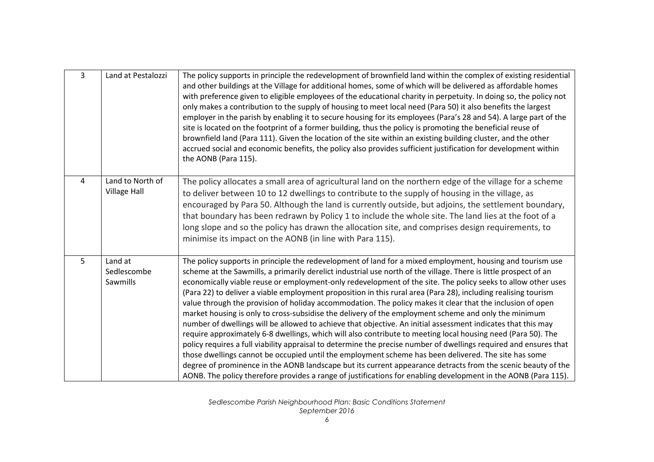| $\overline{3}$ | Land at Pestalozzi                      | The policy supports in principle the redevelopment of brownfield land within the complex of existing residential<br>and other buildings at the Village for additional homes, some of which will be delivered as affordable homes<br>with preference given to eligible employees of the educational charity in perpetuity. In doing so, the policy not<br>only makes a contribution to the supply of housing to meet local need (Para 50) it also benefits the largest<br>employer in the parish by enabling it to secure housing for its employees (Para's 28 and 54). A large part of the<br>site is located on the footprint of a former building, thus the policy is promoting the beneficial reuse of<br>brownfield land (Para 111). Given the location of the site within an existing building cluster, and the other<br>accrued social and economic benefits, the policy also provides sufficient justification for development within<br>the AONB (Para 115).                                                                                                                                                                                                                                                                                                                                                                                                                  |
|----------------|-----------------------------------------|---------------------------------------------------------------------------------------------------------------------------------------------------------------------------------------------------------------------------------------------------------------------------------------------------------------------------------------------------------------------------------------------------------------------------------------------------------------------------------------------------------------------------------------------------------------------------------------------------------------------------------------------------------------------------------------------------------------------------------------------------------------------------------------------------------------------------------------------------------------------------------------------------------------------------------------------------------------------------------------------------------------------------------------------------------------------------------------------------------------------------------------------------------------------------------------------------------------------------------------------------------------------------------------------------------------------------------------------------------------------------------------|
| $\overline{4}$ | Land to North of<br><b>Village Hall</b> | The policy allocates a small area of agricultural land on the northern edge of the village for a scheme<br>to deliver between 10 to 12 dwellings to contribute to the supply of housing in the village, as<br>encouraged by Para 50. Although the land is currently outside, but adjoins, the settlement boundary,<br>that boundary has been redrawn by Policy 1 to include the whole site. The land lies at the foot of a<br>long slope and so the policy has drawn the allocation site, and comprises design requirements, to<br>minimise its impact on the AONB (in line with Para 115).                                                                                                                                                                                                                                                                                                                                                                                                                                                                                                                                                                                                                                                                                                                                                                                           |
| 5              | Land at<br>Sedlescombe<br>Sawmills      | The policy supports in principle the redevelopment of land for a mixed employment, housing and tourism use<br>scheme at the Sawmills, a primarily derelict industrial use north of the village. There is little prospect of an<br>economically viable reuse or employment-only redevelopment of the site. The policy seeks to allow other uses<br>(Para 22) to deliver a viable employment proposition in this rural area (Para 28), including realising tourism<br>value through the provision of holiday accommodation. The policy makes it clear that the inclusion of open<br>market housing is only to cross-subsidise the delivery of the employment scheme and only the minimum<br>number of dwellings will be allowed to achieve that objective. An initial assessment indicates that this may<br>require approximately 6-8 dwellings, which will also contribute to meeting local housing need (Para 50). The<br>policy requires a full viability appraisal to determine the precise number of dwellings required and ensures that<br>those dwellings cannot be occupied until the employment scheme has been delivered. The site has some<br>degree of prominence in the AONB landscape but its current appearance detracts from the scenic beauty of the<br>AONB. The policy therefore provides a range of justifications for enabling development in the AONB (Para 115). |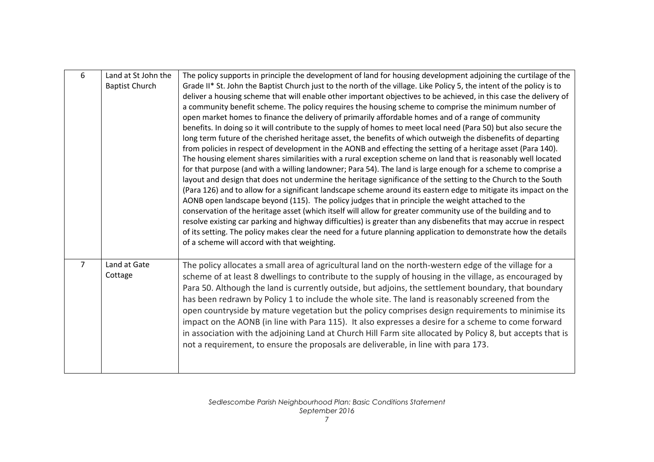| 6              | Land at St John the<br><b>Baptist Church</b> | The policy supports in principle the development of land for housing development adjoining the curtilage of the<br>Grade II* St. John the Baptist Church just to the north of the village. Like Policy 5, the intent of the policy is to<br>deliver a housing scheme that will enable other important objectives to be achieved, in this case the delivery of<br>a community benefit scheme. The policy requires the housing scheme to comprise the minimum number of<br>open market homes to finance the delivery of primarily affordable homes and of a range of community<br>benefits. In doing so it will contribute to the supply of homes to meet local need (Para 50) but also secure the<br>long term future of the cherished heritage asset, the benefits of which outweigh the disbenefits of departing<br>from policies in respect of development in the AONB and effecting the setting of a heritage asset (Para 140).<br>The housing element shares similarities with a rural exception scheme on land that is reasonably well located<br>for that purpose (and with a willing landowner; Para 54). The land is large enough for a scheme to comprise a<br>layout and design that does not undermine the heritage significance of the setting to the Church to the South<br>(Para 126) and to allow for a significant landscape scheme around its eastern edge to mitigate its impact on the<br>AONB open landscape beyond (115). The policy judges that in principle the weight attached to the<br>conservation of the heritage asset (which itself will allow for greater community use of the building and to<br>resolve existing car parking and highway difficulties) is greater than any disbenefits that may accrue in respect<br>of its setting. The policy makes clear the need for a future planning application to demonstrate how the details<br>of a scheme will accord with that weighting. |
|----------------|----------------------------------------------|------------------------------------------------------------------------------------------------------------------------------------------------------------------------------------------------------------------------------------------------------------------------------------------------------------------------------------------------------------------------------------------------------------------------------------------------------------------------------------------------------------------------------------------------------------------------------------------------------------------------------------------------------------------------------------------------------------------------------------------------------------------------------------------------------------------------------------------------------------------------------------------------------------------------------------------------------------------------------------------------------------------------------------------------------------------------------------------------------------------------------------------------------------------------------------------------------------------------------------------------------------------------------------------------------------------------------------------------------------------------------------------------------------------------------------------------------------------------------------------------------------------------------------------------------------------------------------------------------------------------------------------------------------------------------------------------------------------------------------------------------------------------------------------------------------------------------------------------------------------------------------------------------------------------|
| $\overline{7}$ | Land at Gate<br>Cottage                      | The policy allocates a small area of agricultural land on the north-western edge of the village for a<br>scheme of at least 8 dwellings to contribute to the supply of housing in the village, as encouraged by<br>Para 50. Although the land is currently outside, but adjoins, the settlement boundary, that boundary<br>has been redrawn by Policy 1 to include the whole site. The land is reasonably screened from the<br>open countryside by mature vegetation but the policy comprises design requirements to minimise its<br>impact on the AONB (in line with Para 115). It also expresses a desire for a scheme to come forward<br>in association with the adjoining Land at Church Hill Farm site allocated by Policy 8, but accepts that is<br>not a requirement, to ensure the proposals are deliverable, in line with para 173.                                                                                                                                                                                                                                                                                                                                                                                                                                                                                                                                                                                                                                                                                                                                                                                                                                                                                                                                                                                                                                                                           |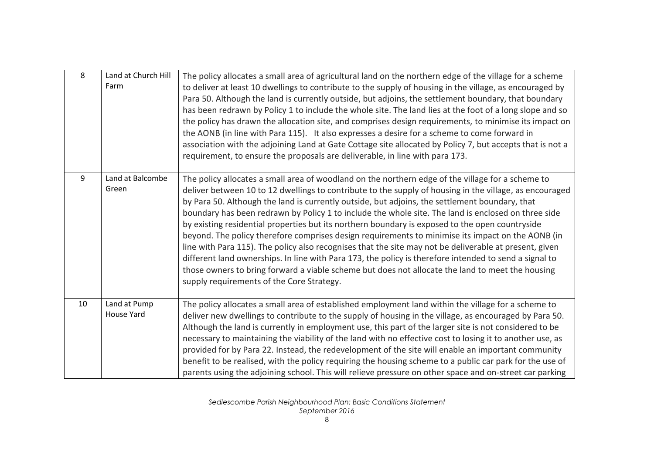| 8  | Land at Church Hill<br>Farm | The policy allocates a small area of agricultural land on the northern edge of the village for a scheme<br>to deliver at least 10 dwellings to contribute to the supply of housing in the village, as encouraged by<br>Para 50. Although the land is currently outside, but adjoins, the settlement boundary, that boundary<br>has been redrawn by Policy 1 to include the whole site. The land lies at the foot of a long slope and so<br>the policy has drawn the allocation site, and comprises design requirements, to minimise its impact on<br>the AONB (in line with Para 115). It also expresses a desire for a scheme to come forward in<br>association with the adjoining Land at Gate Cottage site allocated by Policy 7, but accepts that is not a<br>requirement, to ensure the proposals are deliverable, in line with para 173.                                                                                                                                                     |
|----|-----------------------------|----------------------------------------------------------------------------------------------------------------------------------------------------------------------------------------------------------------------------------------------------------------------------------------------------------------------------------------------------------------------------------------------------------------------------------------------------------------------------------------------------------------------------------------------------------------------------------------------------------------------------------------------------------------------------------------------------------------------------------------------------------------------------------------------------------------------------------------------------------------------------------------------------------------------------------------------------------------------------------------------------|
| 9  | Land at Balcombe<br>Green   | The policy allocates a small area of woodland on the northern edge of the village for a scheme to<br>deliver between 10 to 12 dwellings to contribute to the supply of housing in the village, as encouraged<br>by Para 50. Although the land is currently outside, but adjoins, the settlement boundary, that<br>boundary has been redrawn by Policy 1 to include the whole site. The land is enclosed on three side<br>by existing residential properties but its northern boundary is exposed to the open countryside<br>beyond. The policy therefore comprises design requirements to minimise its impact on the AONB (in<br>line with Para 115). The policy also recognises that the site may not be deliverable at present, given<br>different land ownerships. In line with Para 173, the policy is therefore intended to send a signal to<br>those owners to bring forward a viable scheme but does not allocate the land to meet the housing<br>supply requirements of the Core Strategy. |
| 10 | Land at Pump<br>House Yard  | The policy allocates a small area of established employment land within the village for a scheme to<br>deliver new dwellings to contribute to the supply of housing in the village, as encouraged by Para 50.<br>Although the land is currently in employment use, this part of the larger site is not considered to be<br>necessary to maintaining the viability of the land with no effective cost to losing it to another use, as<br>provided for by Para 22. Instead, the redevelopment of the site will enable an important community<br>benefit to be realised, with the policy requiring the housing scheme to a public car park for the use of<br>parents using the adjoining school. This will relieve pressure on other space and on-street car parking                                                                                                                                                                                                                                  |

*Sedlescombe Parish Neighbourhood Plan: Basic Conditions Statement September 2016*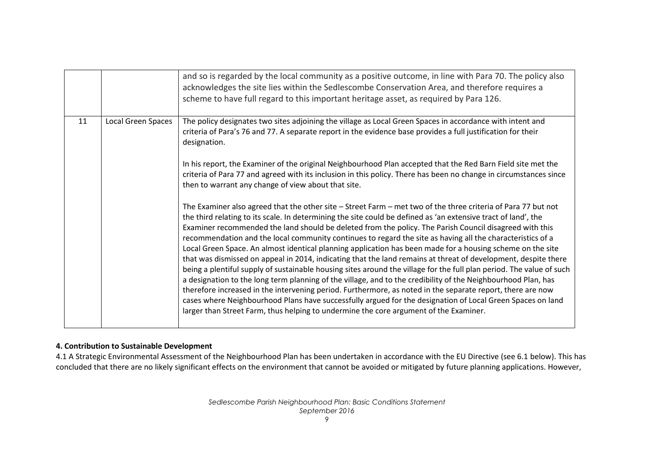|    |                           | and so is regarded by the local community as a positive outcome, in line with Para 70. The policy also<br>acknowledges the site lies within the Sedlescombe Conservation Area, and therefore requires a<br>scheme to have full regard to this important heritage asset, as required by Para 126.                                                                                                                                                                                                                                                                                                                                                                                                                                                                                                                                                                                                                                                                                                                                                                                                                                                                                                                                                       |
|----|---------------------------|--------------------------------------------------------------------------------------------------------------------------------------------------------------------------------------------------------------------------------------------------------------------------------------------------------------------------------------------------------------------------------------------------------------------------------------------------------------------------------------------------------------------------------------------------------------------------------------------------------------------------------------------------------------------------------------------------------------------------------------------------------------------------------------------------------------------------------------------------------------------------------------------------------------------------------------------------------------------------------------------------------------------------------------------------------------------------------------------------------------------------------------------------------------------------------------------------------------------------------------------------------|
| 11 | <b>Local Green Spaces</b> | The policy designates two sites adjoining the village as Local Green Spaces in accordance with intent and<br>criteria of Para's 76 and 77. A separate report in the evidence base provides a full justification for their<br>designation.<br>In his report, the Examiner of the original Neighbourhood Plan accepted that the Red Barn Field site met the                                                                                                                                                                                                                                                                                                                                                                                                                                                                                                                                                                                                                                                                                                                                                                                                                                                                                              |
|    |                           | criteria of Para 77 and agreed with its inclusion in this policy. There has been no change in circumstances since<br>then to warrant any change of view about that site.                                                                                                                                                                                                                                                                                                                                                                                                                                                                                                                                                                                                                                                                                                                                                                                                                                                                                                                                                                                                                                                                               |
|    |                           | The Examiner also agreed that the other site – Street Farm – met two of the three criteria of Para 77 but not<br>the third relating to its scale. In determining the site could be defined as 'an extensive tract of land', the<br>Examiner recommended the land should be deleted from the policy. The Parish Council disagreed with this<br>recommendation and the local community continues to regard the site as having all the characteristics of a<br>Local Green Space. An almost identical planning application has been made for a housing scheme on the site<br>that was dismissed on appeal in 2014, indicating that the land remains at threat of development, despite there<br>being a plentiful supply of sustainable housing sites around the village for the full plan period. The value of such<br>a designation to the long term planning of the village, and to the credibility of the Neighbourhood Plan, has<br>therefore increased in the intervening period. Furthermore, as noted in the separate report, there are now<br>cases where Neighbourhood Plans have successfully argued for the designation of Local Green Spaces on land<br>larger than Street Farm, thus helping to undermine the core argument of the Examiner. |

#### **4. Contribution to Sustainable Development**

4.1 A Strategic Environmental Assessment of the Neighbourhood Plan has been undertaken in accordance with the EU Directive (see 6.1 below). This has concluded that there are no likely significant effects on the environment that cannot be avoided or mitigated by future planning applications. However,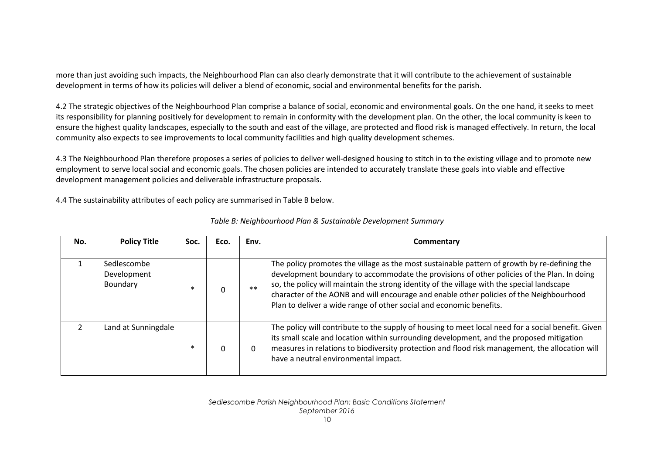more than just avoiding such impacts, the Neighbourhood Plan can also clearly demonstrate that it will contribute to the achievement of sustainable development in terms of how its policies will deliver a blend of economic, social and environmental benefits for the parish.

4.2 The strategic objectives of the Neighbourhood Plan comprise a balance of social, economic and environmental goals. On the one hand, it seeks to meet its responsibility for planning positively for development to remain in conformity with the development plan. On the other, the local community is keen to ensure the highest quality landscapes, especially to the south and east of the village, are protected and flood risk is managed effectively. In return, the local community also expects to see improvements to local community facilities and high quality development schemes.

4.3 The Neighbourhood Plan therefore proposes a series of policies to deliver well-designed housing to stitch in to the existing village and to promote new employment to serve local social and economic goals. The chosen policies are intended to accurately translate these goals into viable and effective development management policies and deliverable infrastructure proposals.

4.4 The sustainability attributes of each policy are summarised in Table B below.

| No. | <b>Policy Title</b>                    | Soc. | Eco. | Env.     | Commentary                                                                                                                                                                                                                                                                                                                                                                                                                                                 |
|-----|----------------------------------------|------|------|----------|------------------------------------------------------------------------------------------------------------------------------------------------------------------------------------------------------------------------------------------------------------------------------------------------------------------------------------------------------------------------------------------------------------------------------------------------------------|
|     | Sedlescombe<br>Development<br>Boundary |      | 0    | $**$     | The policy promotes the village as the most sustainable pattern of growth by re-defining the<br>development boundary to accommodate the provisions of other policies of the Plan. In doing<br>so, the policy will maintain the strong identity of the village with the special landscape<br>character of the AONB and will encourage and enable other policies of the Neighbourhood<br>Plan to deliver a wide range of other social and economic benefits. |
|     | Land at Sunningdale                    |      | 0    | $\Omega$ | The policy will contribute to the supply of housing to meet local need for a social benefit. Given<br>its small scale and location within surrounding development, and the proposed mitigation<br>measures in relations to biodiversity protection and flood risk management, the allocation will<br>have a neutral environmental impact.                                                                                                                  |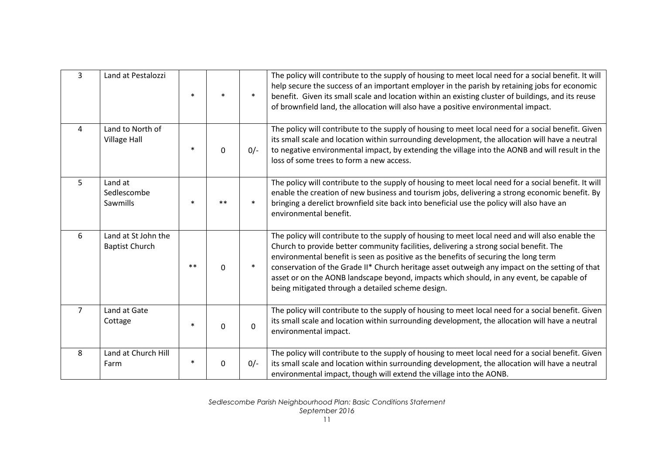| $\overline{3}$ | Land at Pestalozzi                           |        |              | $\ast$      | The policy will contribute to the supply of housing to meet local need for a social benefit. It will<br>help secure the success of an important employer in the parish by retaining jobs for economic<br>benefit. Given its small scale and location within an existing cluster of buildings, and its reuse<br>of brownfield land, the allocation will also have a positive environmental impact.                                                                                                                                   |
|----------------|----------------------------------------------|--------|--------------|-------------|-------------------------------------------------------------------------------------------------------------------------------------------------------------------------------------------------------------------------------------------------------------------------------------------------------------------------------------------------------------------------------------------------------------------------------------------------------------------------------------------------------------------------------------|
| $\overline{4}$ | Land to North of<br><b>Village Hall</b>      | $\ast$ | 0            | $0/-$       | The policy will contribute to the supply of housing to meet local need for a social benefit. Given<br>its small scale and location within surrounding development, the allocation will have a neutral<br>to negative environmental impact, by extending the village into the AONB and will result in the<br>loss of some trees to form a new access.                                                                                                                                                                                |
| 5              | Land at<br>Sedlescombe<br><b>Sawmills</b>    |        |              | $\ast$      | The policy will contribute to the supply of housing to meet local need for a social benefit. It will<br>enable the creation of new business and tourism jobs, delivering a strong economic benefit. By<br>bringing a derelict brownfield site back into beneficial use the policy will also have an<br>environmental benefit.                                                                                                                                                                                                       |
| 6              | Land at St John the<br><b>Baptist Church</b> | $***$  | $\mathbf 0$  | $\ast$      | The policy will contribute to the supply of housing to meet local need and will also enable the<br>Church to provide better community facilities, delivering a strong social benefit. The<br>environmental benefit is seen as positive as the benefits of securing the long term<br>conservation of the Grade II* Church heritage asset outweigh any impact on the setting of that<br>asset or on the AONB landscape beyond, impacts which should, in any event, be capable of<br>being mitigated through a detailed scheme design. |
| $\overline{7}$ | Land at Gate<br>Cottage                      | $\ast$ | $\Omega$     | $\mathbf 0$ | The policy will contribute to the supply of housing to meet local need for a social benefit. Given<br>its small scale and location within surrounding development, the allocation will have a neutral<br>environmental impact.                                                                                                                                                                                                                                                                                                      |
| 8              | Land at Church Hill<br>Farm                  | $\ast$ | $\mathbf{0}$ | $0/-$       | The policy will contribute to the supply of housing to meet local need for a social benefit. Given<br>its small scale and location within surrounding development, the allocation will have a neutral<br>environmental impact, though will extend the village into the AONB.                                                                                                                                                                                                                                                        |

*Sedlescombe Parish Neighbourhood Plan: Basic Conditions Statement September 2016*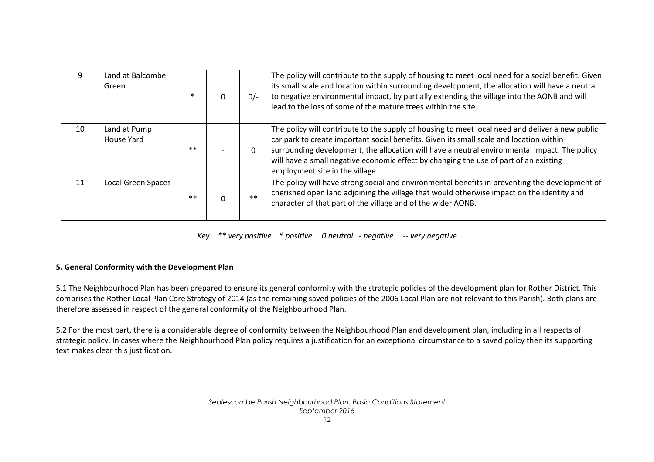| 9               | Land at Balcombe<br>Green  |      | $0/-$    | The policy will contribute to the supply of housing to meet local need for a social benefit. Given<br>its small scale and location within surrounding development, the allocation will have a neutral<br>to negative environmental impact, by partially extending the village into the AONB and will<br>lead to the loss of some of the mature trees within the site.                                                  |
|-----------------|----------------------------|------|----------|------------------------------------------------------------------------------------------------------------------------------------------------------------------------------------------------------------------------------------------------------------------------------------------------------------------------------------------------------------------------------------------------------------------------|
| 10 <sup>1</sup> | Land at Pump<br>House Yard | $**$ | $\Omega$ | The policy will contribute to the supply of housing to meet local need and deliver a new public<br>car park to create important social benefits. Given its small scale and location within<br>surrounding development, the allocation will have a neutral environmental impact. The policy<br>will have a small negative economic effect by changing the use of part of an existing<br>employment site in the village. |
| 11              | <b>Local Green Spaces</b>  | $**$ | $**$     | The policy will have strong social and environmental benefits in preventing the development of<br>cherished open land adjoining the village that would otherwise impact on the identity and<br>character of that part of the village and of the wider AONB.                                                                                                                                                            |

*Key: \*\* very positive \* positive 0 neutral - negative -- very negative*

#### **5. General Conformity with the Development Plan**

5.1 The Neighbourhood Plan has been prepared to ensure its general conformity with the strategic policies of the development plan for Rother District. This comprises the Rother Local Plan Core Strategy of 2014 (as the remaining saved policies of the 2006 Local Plan are not relevant to this Parish). Both plans are therefore assessed in respect of the general conformity of the Neighbourhood Plan.

5.2 For the most part, there is a considerable degree of conformity between the Neighbourhood Plan and development plan, including in all respects of strategic policy. In cases where the Neighbourhood Plan policy requires a justification for an exceptional circumstance to a saved policy then its supporting text makes clear this justification.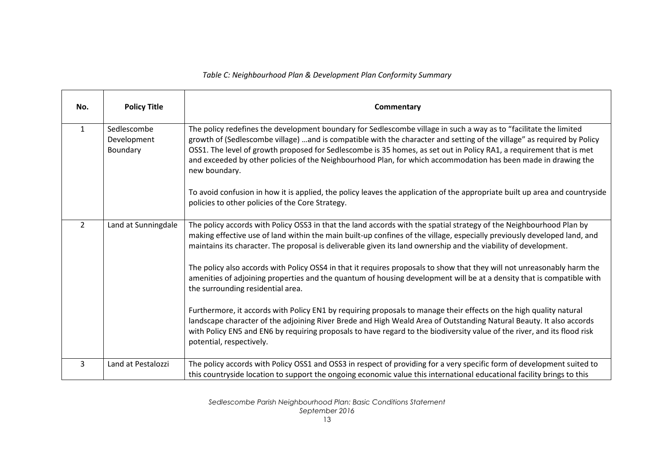#### *Table C: Neighbourhood Plan & Development Plan Conformity Summary*

| No.            | <b>Policy Title</b>                    | Commentary                                                                                                                                                                                                                                                                                                                                                                                                                                                                                            |
|----------------|----------------------------------------|-------------------------------------------------------------------------------------------------------------------------------------------------------------------------------------------------------------------------------------------------------------------------------------------------------------------------------------------------------------------------------------------------------------------------------------------------------------------------------------------------------|
| $\mathbf{1}$   | Sedlescombe<br>Development<br>Boundary | The policy redefines the development boundary for Sedlescombe village in such a way as to "facilitate the limited<br>growth of (Sedlescombe village) and is compatible with the character and setting of the village" as required by Policy<br>OSS1. The level of growth proposed for Sedlescombe is 35 homes, as set out in Policy RA1, a requirement that is met<br>and exceeded by other policies of the Neighbourhood Plan, for which accommodation has been made in drawing the<br>new boundary. |
|                |                                        | To avoid confusion in how it is applied, the policy leaves the application of the appropriate built up area and countryside<br>policies to other policies of the Core Strategy.                                                                                                                                                                                                                                                                                                                       |
| $\overline{2}$ | Land at Sunningdale                    | The policy accords with Policy OSS3 in that the land accords with the spatial strategy of the Neighbourhood Plan by<br>making effective use of land within the main built-up confines of the village, especially previously developed land, and<br>maintains its character. The proposal is deliverable given its land ownership and the viability of development.                                                                                                                                    |
|                |                                        | The policy also accords with Policy OSS4 in that it requires proposals to show that they will not unreasonably harm the<br>amenities of adjoining properties and the quantum of housing development will be at a density that is compatible with<br>the surrounding residential area.                                                                                                                                                                                                                 |
|                |                                        | Furthermore, it accords with Policy EN1 by requiring proposals to manage their effects on the high quality natural<br>landscape character of the adjoining River Brede and High Weald Area of Outstanding Natural Beauty. It also accords<br>with Policy EN5 and EN6 by requiring proposals to have regard to the biodiversity value of the river, and its flood risk<br>potential, respectively.                                                                                                     |
| 3              | Land at Pestalozzi                     | The policy accords with Policy OSS1 and OSS3 in respect of providing for a very specific form of development suited to<br>this countryside location to support the ongoing economic value this international educational facility brings to this                                                                                                                                                                                                                                                      |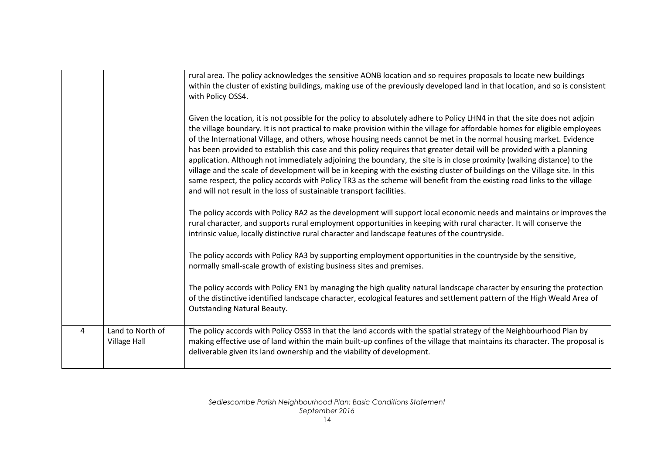|   |                                         | rural area. The policy acknowledges the sensitive AONB location and so requires proposals to locate new buildings<br>within the cluster of existing buildings, making use of the previously developed land in that location, and so is consistent<br>with Policy OSS4.<br>Given the location, it is not possible for the policy to absolutely adhere to Policy LHN4 in that the site does not adjoin<br>the village boundary. It is not practical to make provision within the village for affordable homes for eligible employees<br>of the International Village, and others, whose housing needs cannot be met in the normal housing market. Evidence<br>has been provided to establish this case and this policy requires that greater detail will be provided with a planning<br>application. Although not immediately adjoining the boundary, the site is in close proximity (walking distance) to the<br>village and the scale of development will be in keeping with the existing cluster of buildings on the Village site. In this<br>same respect, the policy accords with Policy TR3 as the scheme will benefit from the existing road links to the village<br>and will not result in the loss of sustainable transport facilities.<br>The policy accords with Policy RA2 as the development will support local economic needs and maintains or improves the<br>rural character, and supports rural employment opportunities in keeping with rural character. It will conserve the<br>intrinsic value, locally distinctive rural character and landscape features of the countryside.<br>The policy accords with Policy RA3 by supporting employment opportunities in the countryside by the sensitive,<br>normally small-scale growth of existing business sites and premises.<br>The policy accords with Policy EN1 by managing the high quality natural landscape character by ensuring the protection<br>of the distinctive identified landscape character, ecological features and settlement pattern of the High Weald Area of<br><b>Outstanding Natural Beauty.</b> |
|---|-----------------------------------------|---------------------------------------------------------------------------------------------------------------------------------------------------------------------------------------------------------------------------------------------------------------------------------------------------------------------------------------------------------------------------------------------------------------------------------------------------------------------------------------------------------------------------------------------------------------------------------------------------------------------------------------------------------------------------------------------------------------------------------------------------------------------------------------------------------------------------------------------------------------------------------------------------------------------------------------------------------------------------------------------------------------------------------------------------------------------------------------------------------------------------------------------------------------------------------------------------------------------------------------------------------------------------------------------------------------------------------------------------------------------------------------------------------------------------------------------------------------------------------------------------------------------------------------------------------------------------------------------------------------------------------------------------------------------------------------------------------------------------------------------------------------------------------------------------------------------------------------------------------------------------------------------------------------------------------------------------------------------------------------------------------------------------------------------------------------------------------------|
| 4 | Land to North of<br><b>Village Hall</b> | The policy accords with Policy OSS3 in that the land accords with the spatial strategy of the Neighbourhood Plan by<br>making effective use of land within the main built-up confines of the village that maintains its character. The proposal is<br>deliverable given its land ownership and the viability of development.                                                                                                                                                                                                                                                                                                                                                                                                                                                                                                                                                                                                                                                                                                                                                                                                                                                                                                                                                                                                                                                                                                                                                                                                                                                                                                                                                                                                                                                                                                                                                                                                                                                                                                                                                          |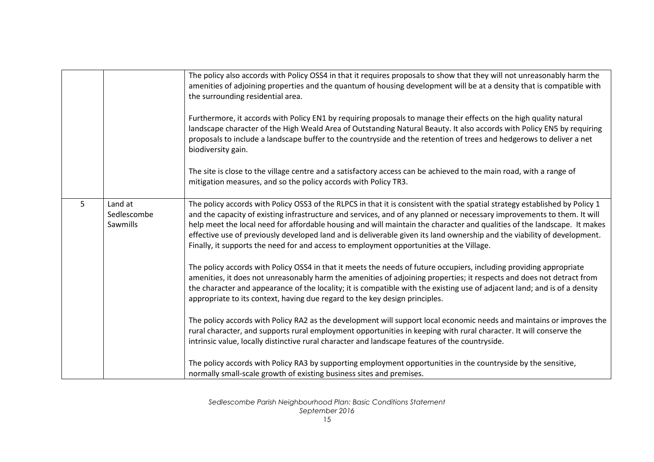|                |                                    | The policy also accords with Policy OSS4 in that it requires proposals to show that they will not unreasonably harm the<br>amenities of adjoining properties and the quantum of housing development will be at a density that is compatible with<br>the surrounding residential area.                                                                                                                                                                                                                                                                                                                      |
|----------------|------------------------------------|------------------------------------------------------------------------------------------------------------------------------------------------------------------------------------------------------------------------------------------------------------------------------------------------------------------------------------------------------------------------------------------------------------------------------------------------------------------------------------------------------------------------------------------------------------------------------------------------------------|
|                |                                    | Furthermore, it accords with Policy EN1 by requiring proposals to manage their effects on the high quality natural<br>landscape character of the High Weald Area of Outstanding Natural Beauty. It also accords with Policy EN5 by requiring<br>proposals to include a landscape buffer to the countryside and the retention of trees and hedgerows to deliver a net<br>biodiversity gain.                                                                                                                                                                                                                 |
|                |                                    | The site is close to the village centre and a satisfactory access can be achieved to the main road, with a range of<br>mitigation measures, and so the policy accords with Policy TR3.                                                                                                                                                                                                                                                                                                                                                                                                                     |
| 5 <sup>5</sup> | Land at<br>Sedlescombe<br>Sawmills | The policy accords with Policy OSS3 of the RLPCS in that it is consistent with the spatial strategy established by Policy 1<br>and the capacity of existing infrastructure and services, and of any planned or necessary improvements to them. It will<br>help meet the local need for affordable housing and will maintain the character and qualities of the landscape. It makes<br>effective use of previously developed land and is deliverable given its land ownership and the viability of development.<br>Finally, it supports the need for and access to employment opportunities at the Village. |
|                |                                    | The policy accords with Policy OSS4 in that it meets the needs of future occupiers, including providing appropriate<br>amenities, it does not unreasonably harm the amenities of adjoining properties; it respects and does not detract from<br>the character and appearance of the locality; it is compatible with the existing use of adjacent land; and is of a density<br>appropriate to its context, having due regard to the key design principles.                                                                                                                                                  |
|                |                                    | The policy accords with Policy RA2 as the development will support local economic needs and maintains or improves the<br>rural character, and supports rural employment opportunities in keeping with rural character. It will conserve the<br>intrinsic value, locally distinctive rural character and landscape features of the countryside.                                                                                                                                                                                                                                                             |
|                |                                    | The policy accords with Policy RA3 by supporting employment opportunities in the countryside by the sensitive,<br>normally small-scale growth of existing business sites and premises.                                                                                                                                                                                                                                                                                                                                                                                                                     |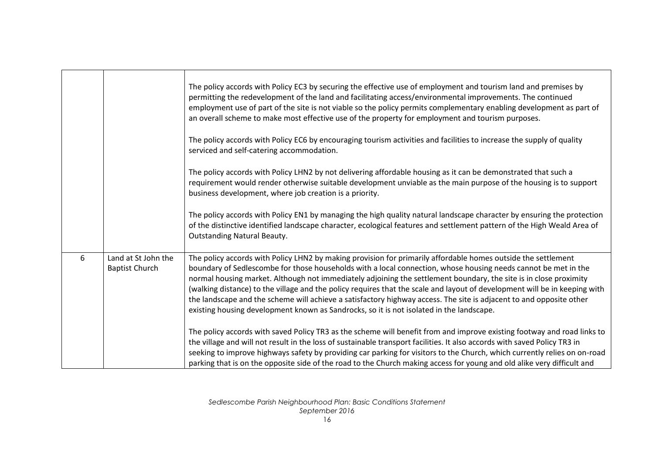|   |                                              | The policy accords with Policy EC3 by securing the effective use of employment and tourism land and premises by<br>permitting the redevelopment of the land and facilitating access/environmental improvements. The continued<br>employment use of part of the site is not viable so the policy permits complementary enabling development as part of<br>an overall scheme to make most effective use of the property for employment and tourism purposes.<br>The policy accords with Policy EC6 by encouraging tourism activities and facilities to increase the supply of quality<br>serviced and self-catering accommodation.<br>The policy accords with Policy LHN2 by not delivering affordable housing as it can be demonstrated that such a |
|---|----------------------------------------------|----------------------------------------------------------------------------------------------------------------------------------------------------------------------------------------------------------------------------------------------------------------------------------------------------------------------------------------------------------------------------------------------------------------------------------------------------------------------------------------------------------------------------------------------------------------------------------------------------------------------------------------------------------------------------------------------------------------------------------------------------|
|   |                                              | requirement would render otherwise suitable development unviable as the main purpose of the housing is to support<br>business development, where job creation is a priority.                                                                                                                                                                                                                                                                                                                                                                                                                                                                                                                                                                       |
|   |                                              | The policy accords with Policy EN1 by managing the high quality natural landscape character by ensuring the protection<br>of the distinctive identified landscape character, ecological features and settlement pattern of the High Weald Area of<br><b>Outstanding Natural Beauty.</b>                                                                                                                                                                                                                                                                                                                                                                                                                                                            |
| 6 | Land at St John the<br><b>Baptist Church</b> | The policy accords with Policy LHN2 by making provision for primarily affordable homes outside the settlement<br>boundary of Sedlescombe for those households with a local connection, whose housing needs cannot be met in the<br>normal housing market. Although not immediately adjoining the settlement boundary, the site is in close proximity<br>(walking distance) to the village and the policy requires that the scale and layout of development will be in keeping with<br>the landscape and the scheme will achieve a satisfactory highway access. The site is adjacent to and opposite other<br>existing housing development known as Sandrocks, so it is not isolated in the landscape.                                              |
|   |                                              | The policy accords with saved Policy TR3 as the scheme will benefit from and improve existing footway and road links to<br>the village and will not result in the loss of sustainable transport facilities. It also accords with saved Policy TR3 in<br>seeking to improve highways safety by providing car parking for visitors to the Church, which currently relies on on-road<br>parking that is on the opposite side of the road to the Church making access for young and old alike very difficult and                                                                                                                                                                                                                                       |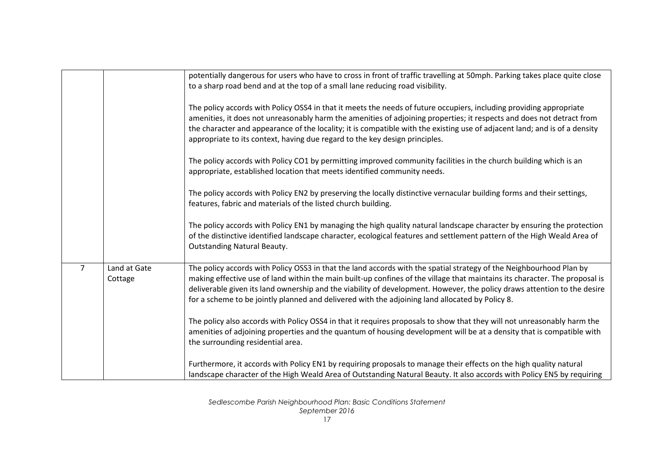|   |                         | potentially dangerous for users who have to cross in front of traffic travelling at 50mph. Parking takes place quite close<br>to a sharp road bend and at the top of a small lane reducing road visibility.                                                                                                                                                                                                                                                                       |
|---|-------------------------|-----------------------------------------------------------------------------------------------------------------------------------------------------------------------------------------------------------------------------------------------------------------------------------------------------------------------------------------------------------------------------------------------------------------------------------------------------------------------------------|
|   |                         | The policy accords with Policy OSS4 in that it meets the needs of future occupiers, including providing appropriate<br>amenities, it does not unreasonably harm the amenities of adjoining properties; it respects and does not detract from<br>the character and appearance of the locality; it is compatible with the existing use of adjacent land; and is of a density<br>appropriate to its context, having due regard to the key design principles.                         |
|   |                         | The policy accords with Policy CO1 by permitting improved community facilities in the church building which is an<br>appropriate, established location that meets identified community needs.                                                                                                                                                                                                                                                                                     |
|   |                         | The policy accords with Policy EN2 by preserving the locally distinctive vernacular building forms and their settings,<br>features, fabric and materials of the listed church building.                                                                                                                                                                                                                                                                                           |
|   |                         | The policy accords with Policy EN1 by managing the high quality natural landscape character by ensuring the protection<br>of the distinctive identified landscape character, ecological features and settlement pattern of the High Weald Area of<br><b>Outstanding Natural Beauty.</b>                                                                                                                                                                                           |
| 7 | Land at Gate<br>Cottage | The policy accords with Policy OSS3 in that the land accords with the spatial strategy of the Neighbourhood Plan by<br>making effective use of land within the main built-up confines of the village that maintains its character. The proposal is<br>deliverable given its land ownership and the viability of development. However, the policy draws attention to the desire<br>for a scheme to be jointly planned and delivered with the adjoining land allocated by Policy 8. |
|   |                         | The policy also accords with Policy OSS4 in that it requires proposals to show that they will not unreasonably harm the<br>amenities of adjoining properties and the quantum of housing development will be at a density that is compatible with<br>the surrounding residential area.                                                                                                                                                                                             |
|   |                         | Furthermore, it accords with Policy EN1 by requiring proposals to manage their effects on the high quality natural<br>landscape character of the High Weald Area of Outstanding Natural Beauty. It also accords with Policy EN5 by requiring                                                                                                                                                                                                                                      |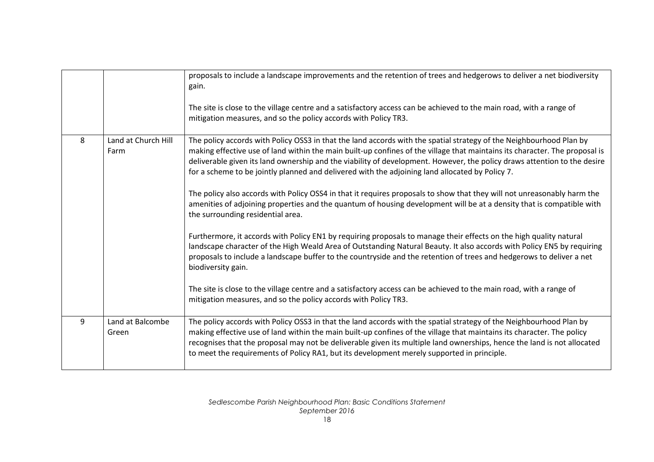|   |                             | proposals to include a landscape improvements and the retention of trees and hedgerows to deliver a net biodiversity<br>gain.<br>The site is close to the village centre and a satisfactory access can be achieved to the main road, with a range of<br>mitigation measures, and so the policy accords with Policy TR3.                                                                                                                                                                                                                                                                                                                                                                                                                                                                                                                                                                                                                                                                                                                                                                                                                                                                                                                                                                                                                                            |
|---|-----------------------------|--------------------------------------------------------------------------------------------------------------------------------------------------------------------------------------------------------------------------------------------------------------------------------------------------------------------------------------------------------------------------------------------------------------------------------------------------------------------------------------------------------------------------------------------------------------------------------------------------------------------------------------------------------------------------------------------------------------------------------------------------------------------------------------------------------------------------------------------------------------------------------------------------------------------------------------------------------------------------------------------------------------------------------------------------------------------------------------------------------------------------------------------------------------------------------------------------------------------------------------------------------------------------------------------------------------------------------------------------------------------|
| 8 | Land at Church Hill<br>Farm | The policy accords with Policy OSS3 in that the land accords with the spatial strategy of the Neighbourhood Plan by<br>making effective use of land within the main built-up confines of the village that maintains its character. The proposal is<br>deliverable given its land ownership and the viability of development. However, the policy draws attention to the desire<br>for a scheme to be jointly planned and delivered with the adjoining land allocated by Policy 7.<br>The policy also accords with Policy OSS4 in that it requires proposals to show that they will not unreasonably harm the<br>amenities of adjoining properties and the quantum of housing development will be at a density that is compatible with<br>the surrounding residential area.<br>Furthermore, it accords with Policy EN1 by requiring proposals to manage their effects on the high quality natural<br>landscape character of the High Weald Area of Outstanding Natural Beauty. It also accords with Policy EN5 by requiring<br>proposals to include a landscape buffer to the countryside and the retention of trees and hedgerows to deliver a net<br>biodiversity gain.<br>The site is close to the village centre and a satisfactory access can be achieved to the main road, with a range of<br>mitigation measures, and so the policy accords with Policy TR3. |
| 9 | Land at Balcombe<br>Green   | The policy accords with Policy OSS3 in that the land accords with the spatial strategy of the Neighbourhood Plan by<br>making effective use of land within the main built-up confines of the village that maintains its character. The policy<br>recognises that the proposal may not be deliverable given its multiple land ownerships, hence the land is not allocated<br>to meet the requirements of Policy RA1, but its development merely supported in principle.                                                                                                                                                                                                                                                                                                                                                                                                                                                                                                                                                                                                                                                                                                                                                                                                                                                                                             |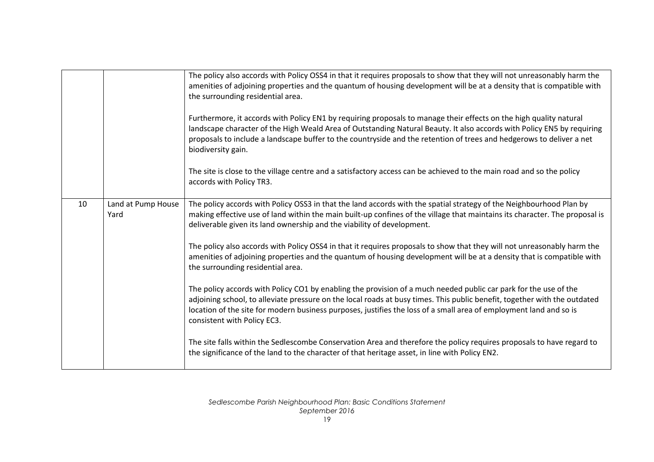|    |                            | The policy also accords with Policy OSS4 in that it requires proposals to show that they will not unreasonably harm the<br>amenities of adjoining properties and the quantum of housing development will be at a density that is compatible with<br>the surrounding residential area.                                                                                                              |
|----|----------------------------|----------------------------------------------------------------------------------------------------------------------------------------------------------------------------------------------------------------------------------------------------------------------------------------------------------------------------------------------------------------------------------------------------|
|    |                            | Furthermore, it accords with Policy EN1 by requiring proposals to manage their effects on the high quality natural<br>landscape character of the High Weald Area of Outstanding Natural Beauty. It also accords with Policy EN5 by requiring<br>proposals to include a landscape buffer to the countryside and the retention of trees and hedgerows to deliver a net<br>biodiversity gain.         |
|    |                            | The site is close to the village centre and a satisfactory access can be achieved to the main road and so the policy<br>accords with Policy TR3.                                                                                                                                                                                                                                                   |
| 10 | Land at Pump House<br>Yard | The policy accords with Policy OSS3 in that the land accords with the spatial strategy of the Neighbourhood Plan by<br>making effective use of land within the main built-up confines of the village that maintains its character. The proposal is<br>deliverable given its land ownership and the viability of development.                                                                       |
|    |                            | The policy also accords with Policy OSS4 in that it requires proposals to show that they will not unreasonably harm the<br>amenities of adjoining properties and the quantum of housing development will be at a density that is compatible with<br>the surrounding residential area.                                                                                                              |
|    |                            | The policy accords with Policy CO1 by enabling the provision of a much needed public car park for the use of the<br>adjoining school, to alleviate pressure on the local roads at busy times. This public benefit, together with the outdated<br>location of the site for modern business purposes, justifies the loss of a small area of employment land and so is<br>consistent with Policy EC3. |
|    |                            | The site falls within the Sedlescombe Conservation Area and therefore the policy requires proposals to have regard to<br>the significance of the land to the character of that heritage asset, in line with Policy EN2.                                                                                                                                                                            |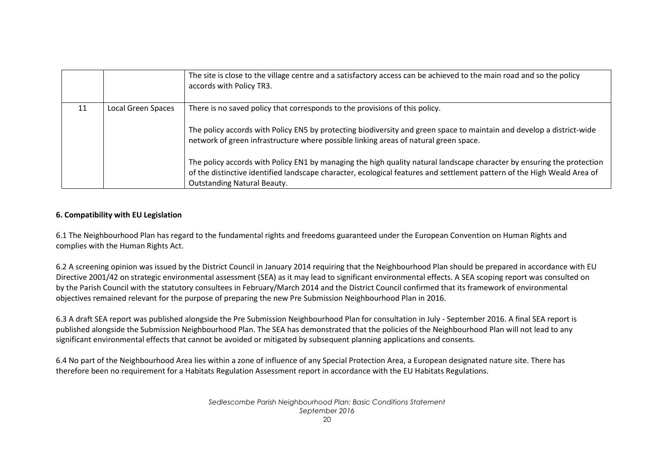|    |                    | The site is close to the village centre and a satisfactory access can be achieved to the main road and so the policy<br>accords with Policy TR3.                                                                                                                                                                                                                                                                                                                                                                                                                                        |
|----|--------------------|-----------------------------------------------------------------------------------------------------------------------------------------------------------------------------------------------------------------------------------------------------------------------------------------------------------------------------------------------------------------------------------------------------------------------------------------------------------------------------------------------------------------------------------------------------------------------------------------|
| 11 | Local Green Spaces | There is no saved policy that corresponds to the provisions of this policy.<br>The policy accords with Policy EN5 by protecting biodiversity and green space to maintain and develop a district-wide<br>network of green infrastructure where possible linking areas of natural green space.<br>The policy accords with Policy EN1 by managing the high quality natural landscape character by ensuring the protection<br>of the distinctive identified landscape character, ecological features and settlement pattern of the High Weald Area of<br><b>Outstanding Natural Beauty.</b> |

#### **6. Compatibility with EU Legislation**

6.1 The Neighbourhood Plan has regard to the fundamental rights and freedoms guaranteed under the European Convention on Human Rights and complies with the Human Rights Act.

6.2 A screening opinion was issued by the District Council in January 2014 requiring that the Neighbourhood Plan should be prepared in accordance with EU Directive 2001/42 on strategic environmental assessment (SEA) as it may lead to significant environmental effects. A SEA scoping report was consulted on by the Parish Council with the statutory consultees in February/March 2014 and the District Council confirmed that its framework of environmental objectives remained relevant for the purpose of preparing the new Pre Submission Neighbourhood Plan in 2016.

6.3 A draft SEA report was published alongside the Pre Submission Neighbourhood Plan for consultation in July - September 2016. A final SEA report is published alongside the Submission Neighbourhood Plan. The SEA has demonstrated that the policies of the Neighbourhood Plan will not lead to any significant environmental effects that cannot be avoided or mitigated by subsequent planning applications and consents.

6.4 No part of the Neighbourhood Area lies within a zone of influence of any Special Protection Area, a European designated nature site. There has therefore been no requirement for a Habitats Regulation Assessment report in accordance with the EU Habitats Regulations.